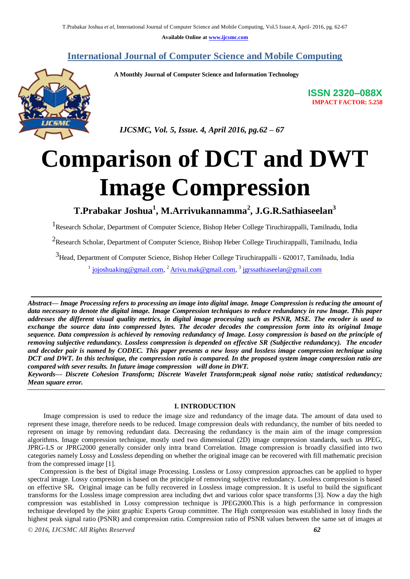**Available Online at [www.ijcsmc.com](http://www.ijcsmc.com/)**

## **International Journal of Computer Science and Mobile Computing**

 **A Monthly Journal of Computer Science and Information Technology**

**ISSN 2320–088X IMPACT FACTOR: 5.258**

 *IJCSMC, Vol. 5, Issue. 4, April 2016, pg.62 – 67*

# **Comparison of DCT and DWT Image Compression**

**T.Prabakar Joshua<sup>1</sup> , M.Arrivukannamma<sup>2</sup> , J.G.R.Sathiaseelan<sup>3</sup>**

<sup>1</sup> Research Scholar, Department of Computer Science, Bishop Heber College Tiruchirappalli, Tamilnadu, India

 $2$ Research Scholar, Department of Computer Science, Bishop Heber College Tiruchirappalli, Tamilnadu, India

3Head, Department of Computer Science, Bishop Heber College Tiruchirappalli - 620017, Tamilnadu, India

<sup>1</sup> [jojoshuaking@gmail.com,](mailto:jojoshuaking@gmail.com) <sup>2</sup> [Arivu.mak@gmail.com,](mailto:Arivu.mak@gmail.com) <sup>3</sup> [jgrssathiaseelan@gmail.com](mailto:jgrssathiaseelan@gmail.com)

*Abstract— Image Processing refers to processing an image into digital image. Image Compression is reducing the amount of data necessary to denote the digital image. Image Compression techniques to reduce redundancy in raw Image. This paper addresses the different visual quality metrics, in digital image processing such as PSNR, MSE. The encoder is used to exchange the source data into compressed bytes. The decoder decodes the compression form into its original Image sequence. Data compression is achieved by removing redundancy of Image. Lossy compression is based on the principle of removing subjective redundancy. Lossless compression is depended on effective SR (Subjective redundancy). The encoder and decoder pair is named by CODEC. This paper presents a new lossy and lossless image compression technique using DCT and DWT. In this technique, the compression ratio is compared. In the proposed system image compression ratio are compared with sever results. In future image compression will done in DWT.*

*Keywords— Discrete Cohesion Transform; Discrete Wavelet Transform;peak signal noise ratio; statistical redundancy; Mean square error.*

### **I. INTRODUCTION**

Image compression is used to reduce the image size and redundancy of the image data. The amount of data used to represent these image, therefore needs to be reduced. Image compression deals with redundancy, the number of bits needed to represent on image by removing redundant data. Decreasing the redundancy is the main aim of the image compression algorithms. Image compression technique, mostly used two dimensional (2D) image compression standards, such us JPEG, JPRG-LS or JPRG2000 generally consider only intra brand Correlation. Image compression is broadly classified into two categories namely Lossy and Lossless depending on whether the original image can be recovered with fill mathematic precision from the compressed image [1].

Compression is the best of Digital image Processing. Lossless or Lossy compression approaches can be applied to hyper spectral image. Lossy compression is based on the principle of removing subjective redundancy. Lossless compression is based on effective SR**.** Original image can be fully recovered in Lossless image compression. It is useful to build the significant transforms for the Lossless image compression area including dwt and various color space transforms [3]. Now a day the high compression was established in Lossy compression technique is JPEG2000.This is a high performance in compression technique developed by the joint graphic Experts Group committee. The High compression was established in lossy finds the highest peak signal ratio (PSNR) and compression ratio. Compression ratio of PSNR values between the same set of images at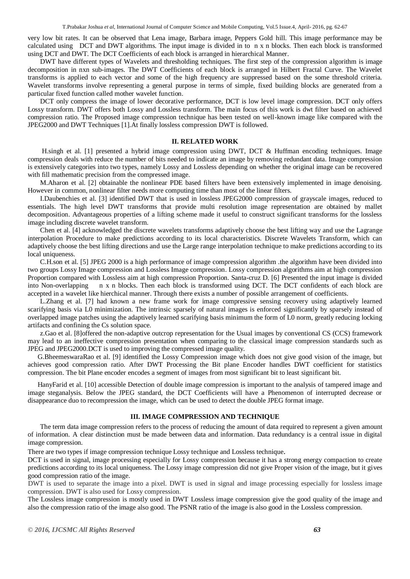very low bit rates. It can be observed that Lena image, Barbara image, Peppers Gold hill. This image performance may be calculated using DCT and DWT algorithms. The input image is divided in to n x n blocks. Then each block is transformed using DCT and DWT. The DCT Coefficients of each block is arranged in hierarchical Manner.

DWT have different types of Wavelets and thresholding techniques. The first step of the compression algorithm is image decomposition in nxn sub-images. The DWT Coefficients of each block is arranged in Hilbert Fractal Curve. The Wavelet transforms is applied to each vector and some of the high frequency are suppressed based on the some threshold criteria. Wavelet transforms involve representing a general purpose in terms of simple, fixed building blocks are generated from a particular fixed function called mother wavelet function.

DCT only compress the image of lower decorative performance, DCT is low level image compression. DCT only offers Lossy transform. DWT offers both Lossy and Lossless transform. The main focus of this work is dwt filter based on achieved compression ratio. The Proposed image compression technique has been tested on well-known image like compared with the JPEG2000 and DWT Techniques [1].At finally lossless compression DWT is followed.

#### **II. RELATED WORK**

H.singh et al. [1] presented a hybrid image compression using DWT, DCT & Huffman encoding techniques. Image compression deals with reduce the number of bits needed to indicate an image by removing redundant data. Image compression is extensively categories into two types, namely Lossy and Lossless depending on whether the original image can be recovered with fill mathematic precision from the compressed image.

M.Aharon et al. [2] obtainable the nonlinear PDE based filters have been extensively implemented in image denoising. However in common, nonlinear filter needs more computing time than most of the linear filters.

I.Daubenchies et al. [3] identified DWT that is used in lossless JPEG2000 compression of grayscale images, reduced to essentials. The high level DWT transforms that provide multi resolution image representation are obtained by mallet decomposition. Advantageous properties of a lifting scheme made it useful to construct significant transforms for the lossless image including discrete wavelet transform.

Chen et al. [4] acknowledged the discrete wavelets transforms adaptively choose the best lifting way and use the Lagrange interpolation Procedure to make predictions according to its local characteristics. Discrete Wavelets Transform, which can adaptively choose the best lifting directions and use the Large range interpolation technique to make predictions according to its local uniqueness.

C.H.son et al. [5] JPEG 2000 is a high performance of image compression algorithm .the algorithm have been divided into two groups Lossy Image compression and Lossless Image compression. Lossy compression algorithms aim at high compression Proportion compared with Lossless aim at high compression Proportion. Santa-cruz D. [6] Presented the input image is divided into Non-overlapping n x n blocks. Then each block is transformed using DCT. The DCT confidents of each block are accepted in a wavelet like hierchical manner. Through there exists a number of possible arrangement of coefficients.

L.Zhang et al. [7] had known a new frame work for image compressive sensing recovery using adaptively learned scarifying basis via L0 minimization. The intrinsic sparsely of natural images is enforced significantly by sparsely instead of overlapped image patches using the adaptively learned scarifying basis minimum the form of L0 norm, greatly reducing locking artifacts and confining the Cs solution space.

z.Gao et al. [8]offered the non-adaptive outcrop representation for the Usual images by conventional CS (CCS) framework may lead to an ineffective compression presentation when comparing to the classical image compression standards such as JPEG and JPEG2000.DCT is used to improving the compressed image quality.

G.BheemeswaraRao et al. [9] identified the Lossy Compression image which does not give good vision of the image, but achieves good compression ratio. After DWT Processing the Bit plane Encoder handles DWT coefficient for statistics compression. The bit Plane encoder encodes a segment of images from most significant bit to least significant bit.

HanyFarid et al. [10] accessible Detection of double image compression is important to the analysis of tampered image and image steganalysis. Below the JPEG standard, the DCT Coefficients will have a Phenomenon of interrupted decrease or disappearance duo to recompression the image, which can be used to detect the double JPEG format image.

### **III. IMAGE COMPRESSION AND TECHNIQUE**

The term data image compression refers to the process of reducing the amount of data required to represent a given amount of information. A clear distinction must be made between data and information. Data redundancy is a central issue in digital image compression.

There are two types if image compression technique Lossy technique and Lossless technique.

DCT is used in signal, image processing especially for Lossy compression because it has a strong energy compaction to create predictions according to its local uniqueness. The Lossy image compression did not give Proper vision of the image, but it gives good compression ratio of the image.

 DWT is used to separate the image into a pixel. DWT is used in signal and image processing especially for lossless image compression. DWT is also used for Lossy compression.

The Lossless image compression is mostly used in DWT Lossless image compression give the good quality of the image and also the compression ratio of the image also good. The PSNR ratio of the image is also good in the Lossless compression.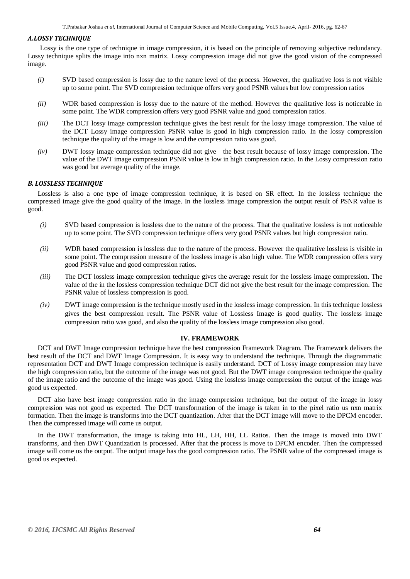#### *A***.***LOSSY TECHNIQUE*

Lossy is the one type of technique in image compression, it is based on the principle of removing subjective redundancy. Lossy technique splits the image into nxn matrix. Lossy compression image did not give the good vision of the compressed image.

- *(i)* SVD based compression is lossy due to the nature level of the process. However, the qualitative loss is not visible up to some point. The SVD compression technique offers very good PSNR values but low compression ratios
- *(ii)* WDR based compression is lossy due to the nature of the method. However the qualitative loss is noticeable in some point. The WDR compression offers very good PSNR value and good compression ratios.
- *(iii)* The DCT lossy image compression technique gives the best result for the lossy image compression. The value of the DCT Lossy image compression PSNR value is good in high compression ratio. In the lossy compression technique the quality of the image is low and the compression ratio was good.
- *(iv)* DWT lossy image compression technique did not give the best result because of lossy image compression. The value of the DWT image compression PSNR value is low in high compression ratio. In the Lossy compression ratio was good but average quality of the image.

## *B. LOSSLESS TECHNIQUE*

Lossless is also a one type of image compression technique, it is based on SR effect. In the lossless technique the compressed image give the good quality of the image. In the lossless image compression the output result of PSNR value is good.

- *(i)* SVD based compression is lossless due to the nature of the process. That the qualitative lossless is not noticeable up to some point. The SVD compression technique offers very good PSNR values but high compression ratio.
- *(ii)* WDR based compression is lossless due to the nature of the process. However the qualitative lossless is visible in some point. The compression measure of the lossless image is also high value. The WDR compression offers very good PSNR value and good compression ratios.
- *(iii)* The DCT lossless image compression technique gives the average result for the lossless image compression. The value of the in the lossless compression technique DCT did not give the best result for the image compression. The PSNR value of lossless compression is good.
- *(iv)* DWT image compression is the technique mostly used in the lossless image compression. In this technique lossless gives the best compression result. The PSNR value of Lossless Image is good quality. The lossless image compression ratio was good, and also the quality of the lossless image compression also good.

## **IV. FRAMEWORK**

DCT and DWT Image compression technique have the best compression Framework Diagram. The Framework delivers the best result of the DCT and DWT Image Compression. It is easy way to understand the technique. Through the diagrammatic representation DCT and DWT Image compression technique is easily understand. DCT of Lossy image compression may have the high compression ratio, but the outcome of the image was not good. But the DWT image compression technique the quality of the image ratio and the outcome of the image was good. Using the lossless image compression the output of the image was good us expected.

DCT also have best image compression ratio in the image compression technique, but the output of the image in lossy compression was not good us expected. The DCT transformation of the image is taken in to the pixel ratio us nxn matrix formation. Then the image is transforms into the DCT quantization. After that the DCT image will move to the DPCM encoder. Then the compressed image will come us output.

In the DWT transformation, the image is taking into HL, LH, HH, LL Ratios. Then the image is moved into DWT transforms, and then DWT Quantization is processed. After that the process is move to DPCM encoder. Then the compressed image will come us the output. The output image has the good compression ratio. The PSNR value of the compressed image is good us expected.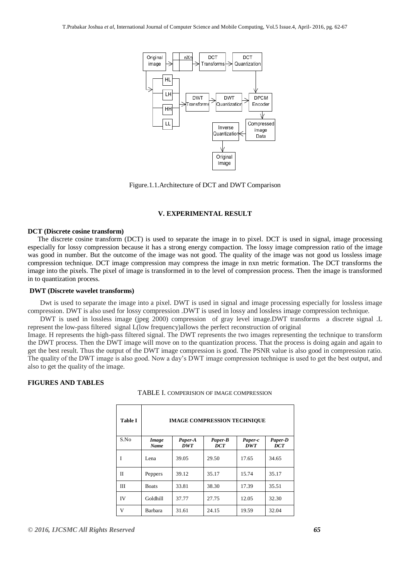

Figure.1.1.Architecture of DCT and DWT Comparison

## **V. EXPERIMENTAL RESULT**

#### **DCT (Discrete cosine transform)**

The discrete cosine transform (DCT) is used to separate the image in to pixel. DCT is used in signal, image processing especially for lossy compression because it has a strong energy compaction. The lossy image compression ratio of the image was good in number. But the outcome of the image was not good. The quality of the image was not good us lossless image compression technique. DCT image compression may compress the image in nxn metric formation. The DCT transforms the image into the pixels. The pixel of image is transformed in to the level of compression process. Then the image is transformed in to quantization process.

#### **DWT (Discrete wavelet transforms)**

Dwt is used to separate the image into a pixel. DWT is used in signal and image processing especially for lossless image compression. DWT is also used for lossy compression .DWT is used in lossy and lossless image compression technique.

DWT is used in lossless image (jpeg 2000) compression of gray level image.DWT transforms a discrete signal .L represent the low-pass filtered signal L(low frequency)allows the perfect reconstruction of original

Image. H represents the high-pass filtered signal. The DWT represents the two images representing the technique to transform the DWT process. Then the DWT image will move on to the quantization process. That the process is doing again and again to get the best result. Thus the output of the DWT image compression is good. The PSNR value is also good in compression ratio. The quality of the DWT image is also good. Now a day's DWT image compression technique is used to get the best output, and also to get the quality of the image.

## **FIGURES AND TABLES**

| <b>Table I</b> | <b>IMAGE COMPRESSION TECHNIQUE</b> |                       |                       |                       |                       |
|----------------|------------------------------------|-----------------------|-----------------------|-----------------------|-----------------------|
| S.No           | Image<br>Name                      | Paper-A<br><b>DWT</b> | Paper-B<br><b>DCT</b> | Paper-c<br><b>DWT</b> | Paper-D<br><b>DCT</b> |
| I              | Lena                               | 39.05                 | 29.50                 | 17.65                 | 34.65                 |
| П              | Peppers                            | 39.12                 | 35.17                 | 15.74                 | 35.17                 |
| Ш              | <b>Boats</b>                       | 33.81                 | 38.30                 | 17.39                 | 35.51                 |
| IV             | Goldhill                           | 37.77                 | 27.75                 | 12.05                 | 32.30                 |
| V              | Barbara                            | 31.61                 | 24.15                 | 19.59                 | 32.04                 |

TABLE I. COMPERISION OF IMAGE COMPRESSION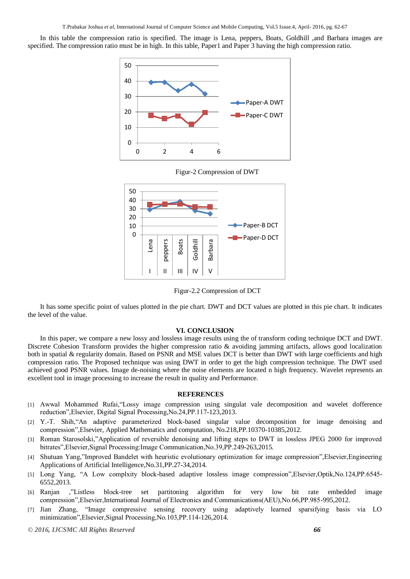In this table the compression ratio is specified. The image is Lena, peppers, Boats, Goldhill ,and Barbara images are specified. The compression ratio must be in high. In this table, Paper1 and Paper 3 having the high compression ratio.



Figur-2 Compression of DWT



Figur-2.2 Compression of DCT

It has some specific point of values plotted in the pie chart. DWT and DCT values are plotted in this pie chart. It indicates the level of the value.

#### **VI. CONCLUSION**

In this paper, we compare a new lossy and lossless image results using the of transform coding technique DCT and DWT. Discrete Cohesion Transform provides the higher compression ratio  $\&$  avoiding jamming artifacts, allows good localization both in spatial & regularity domain. Based on PSNR and MSE values DCT is better than DWT with large coefficients and high compression ratio. The Proposed technique was using DWT in order to get the high compression technique. The DWT used achieved good PSNR values. Image de-noising where the noise elements are located n high frequency. Wavelet represents an excellent tool in image processing to increase the result in quality and Performance.

#### **REFERENCES**

- [1] Awwal Mohammed Rufai,"Lossy image compression using singulat vale decomposition and wavelet dofference reduction",Elsevier, Digital Signal Processing,No.24,PP.117-123,2013.
- [2] Y.-T. Shih,"An adaptive parameterized block-based singular value decomposition for image denoising and compression",Elsevier, Applied Mathematics and computation, No.218,PP.10370-10385,2012.
- [3] Roman Starosolski,"Application of reversible denoising and lifting steps to DWT in lossless JPEG 2000 for improved bitrates",Elsevier,Signal Processing:Image Communication,No.39,PP.249-263,2015.
- [4] Shutuan Yang,"Improved Bandelet with heuristic evolutionary optimization for image compression",Elsevier,Engineering Applications of Artificial Intelligence,No.31,PP.27-34,2014.
- [5] Long Yang, "A Low complxity block-based adaptive lossless image compression",Elsevier,Optik,No.124,PP.6545- 6552,2013.
- [6] Ranjan ,"Listless block-tree set partitoning algorithm for very low bit rate embedded image compression",Elsevier,International Journal of Electronics and Communications(AEU),No.66,PP.985-995,2012.
- [7] Jian Zhang, "Image compressive sensing recovery using adaptively learned sparsifying basis via LO minimization",Elsevier,Signal Processing,No.103,PP.114-126,2014.